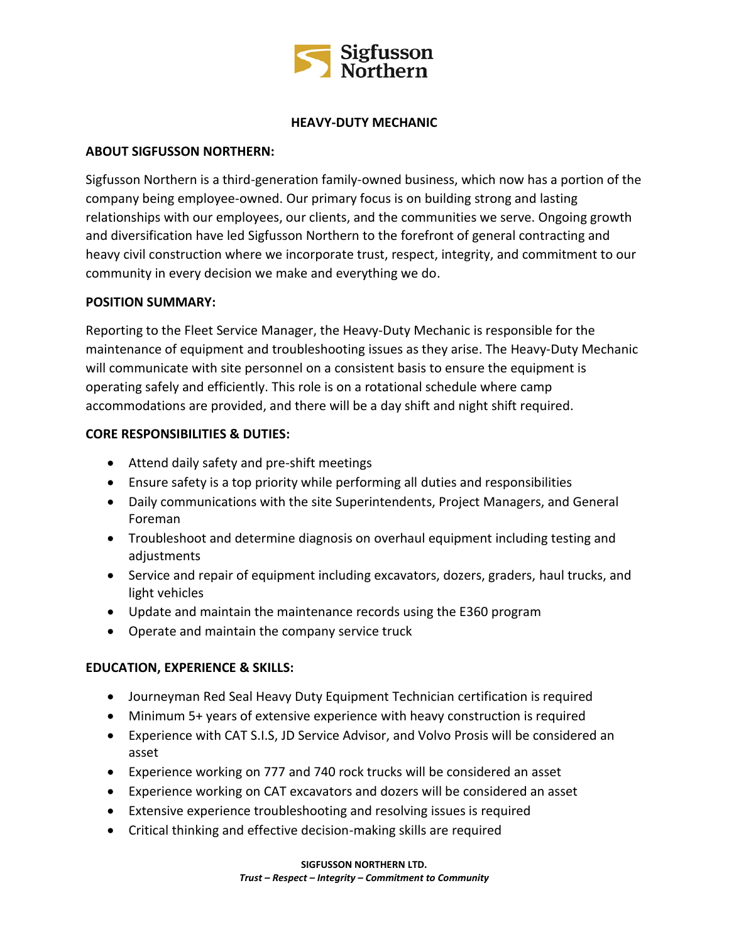

## **HEAVY-DUTY MECHANIC**

## **ABOUT SIGFUSSON NORTHERN:**

Sigfusson Northern is a third-generation family-owned business, which now has a portion of the company being employee-owned. Our primary focus is on building strong and lasting relationships with our employees, our clients, and the communities we serve. Ongoing growth and diversification have led Sigfusson Northern to the forefront of general contracting and heavy civil construction where we incorporate trust, respect, integrity, and commitment to our community in every decision we make and everything we do.

#### **POSITION SUMMARY:**

Reporting to the Fleet Service Manager, the Heavy-Duty Mechanic is responsible for the maintenance of equipment and troubleshooting issues as they arise. The Heavy-Duty Mechanic will communicate with site personnel on a consistent basis to ensure the equipment is operating safely and efficiently. This role is on a rotational schedule where camp accommodations are provided, and there will be a day shift and night shift required.

## **CORE RESPONSIBILITIES & DUTIES:**

- Attend daily safety and pre-shift meetings
- Ensure safety is a top priority while performing all duties and responsibilities
- Daily communications with the site Superintendents, Project Managers, and General Foreman
- Troubleshoot and determine diagnosis on overhaul equipment including testing and adjustments
- Service and repair of equipment including excavators, dozers, graders, haul trucks, and light vehicles
- Update and maintain the maintenance records using the E360 program
- Operate and maintain the company service truck

# **EDUCATION, EXPERIENCE & SKILLS:**

- Journeyman Red Seal Heavy Duty Equipment Technician certification is required
- Minimum 5+ years of extensive experience with heavy construction is required
- Experience with CAT S.I.S, JD Service Advisor, and Volvo Prosis will be considered an asset
- Experience working on 777 and 740 rock trucks will be considered an asset
- Experience working on CAT excavators and dozers will be considered an asset
- Extensive experience troubleshooting and resolving issues is required
- Critical thinking and effective decision-making skills are required

**SIGFUSSON NORTHERN LTD.**

*Trust – Respect – Integrity – Commitment to Community*